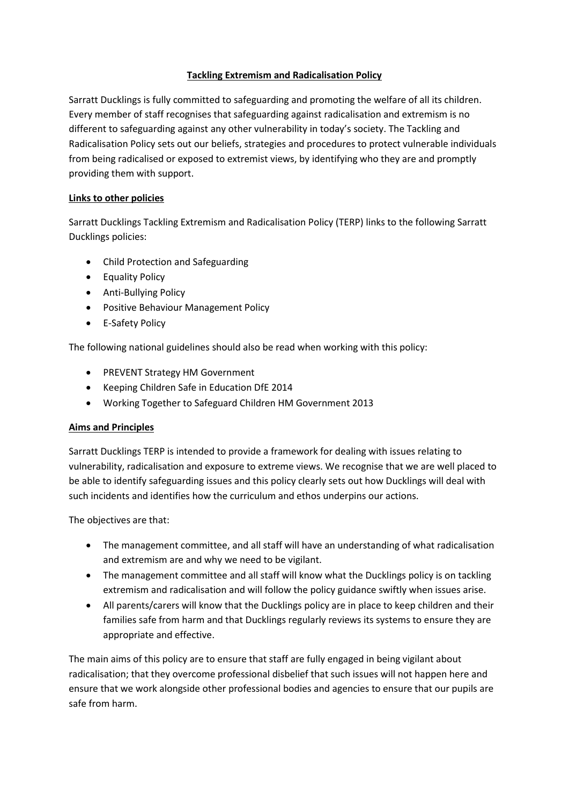# **Tackling Extremism and Radicalisation Policy**

Sarratt Ducklings is fully committed to safeguarding and promoting the welfare of all its children. Every member of staff recognises that safeguarding against radicalisation and extremism is no different to safeguarding against any other vulnerability in today's society. The Tackling and Radicalisation Policy sets out our beliefs, strategies and procedures to protect vulnerable individuals from being radicalised or exposed to extremist views, by identifying who they are and promptly providing them with support.

### **Links to other policies**

Sarratt Ducklings Tackling Extremism and Radicalisation Policy (TERP) links to the following Sarratt Ducklings policies:

- Child Protection and Safeguarding
- **•** Equality Policy
- Anti-Bullying Policy
- Positive Behaviour Management Policy
- E-Safety Policy

The following national guidelines should also be read when working with this policy:

- PREVENT Strategy HM Government
- Keeping Children Safe in Education DfE 2014
- Working Together to Safeguard Children HM Government 2013

### **Aims and Principles**

Sarratt Ducklings TERP is intended to provide a framework for dealing with issues relating to vulnerability, radicalisation and exposure to extreme views. We recognise that we are well placed to be able to identify safeguarding issues and this policy clearly sets out how Ducklings will deal with such incidents and identifies how the curriculum and ethos underpins our actions.

The objectives are that:

- The management committee, and all staff will have an understanding of what radicalisation and extremism are and why we need to be vigilant.
- The management committee and all staff will know what the Ducklings policy is on tackling extremism and radicalisation and will follow the policy guidance swiftly when issues arise.
- All parents/carers will know that the Ducklings policy are in place to keep children and their families safe from harm and that Ducklings regularly reviews its systems to ensure they are appropriate and effective.

The main aims of this policy are to ensure that staff are fully engaged in being vigilant about radicalisation; that they overcome professional disbelief that such issues will not happen here and ensure that we work alongside other professional bodies and agencies to ensure that our pupils are safe from harm.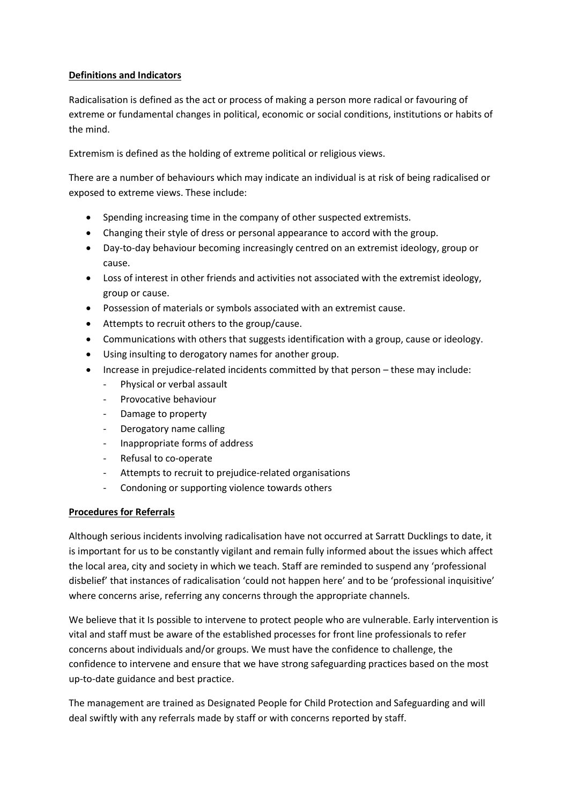#### **Definitions and Indicators**

Radicalisation is defined as the act or process of making a person more radical or favouring of extreme or fundamental changes in political, economic or social conditions, institutions or habits of the mind.

Extremism is defined as the holding of extreme political or religious views.

There are a number of behaviours which may indicate an individual is at risk of being radicalised or exposed to extreme views. These include:

- Spending increasing time in the company of other suspected extremists.
- Changing their style of dress or personal appearance to accord with the group.
- Day-to-day behaviour becoming increasingly centred on an extremist ideology, group or cause.
- Loss of interest in other friends and activities not associated with the extremist ideology, group or cause.
- Possession of materials or symbols associated with an extremist cause.
- Attempts to recruit others to the group/cause.
- Communications with others that suggests identification with a group, cause or ideology.
- Using insulting to derogatory names for another group.
- Increase in prejudice-related incidents committed by that person these may include:
	- Physical or verbal assault
	- Provocative behaviour
	- Damage to property
	- Derogatory name calling
	- Inappropriate forms of address
	- Refusal to co-operate
	- Attempts to recruit to prejudice-related organisations
	- Condoning or supporting violence towards others

### **Procedures for Referrals**

Although serious incidents involving radicalisation have not occurred at Sarratt Ducklings to date, it is important for us to be constantly vigilant and remain fully informed about the issues which affect the local area, city and society in which we teach. Staff are reminded to suspend any 'professional disbelief' that instances of radicalisation 'could not happen here' and to be 'professional inquisitive' where concerns arise, referring any concerns through the appropriate channels.

We believe that it Is possible to intervene to protect people who are vulnerable. Early intervention is vital and staff must be aware of the established processes for front line professionals to refer concerns about individuals and/or groups. We must have the confidence to challenge, the confidence to intervene and ensure that we have strong safeguarding practices based on the most up-to-date guidance and best practice.

The management are trained as Designated People for Child Protection and Safeguarding and will deal swiftly with any referrals made by staff or with concerns reported by staff.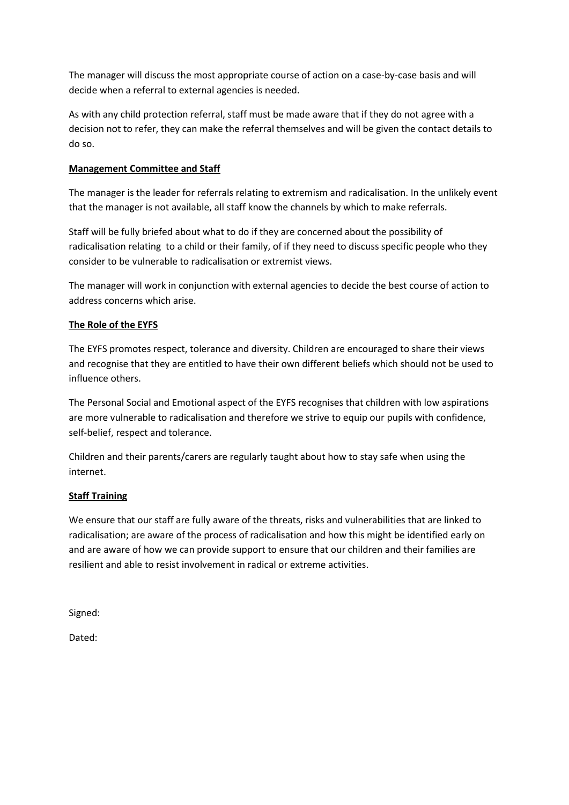The manager will discuss the most appropriate course of action on a case-by-case basis and will decide when a referral to external agencies is needed.

As with any child protection referral, staff must be made aware that if they do not agree with a decision not to refer, they can make the referral themselves and will be given the contact details to do so.

### **Management Committee and Staff**

The manager is the leader for referrals relating to extremism and radicalisation. In the unlikely event that the manager is not available, all staff know the channels by which to make referrals.

Staff will be fully briefed about what to do if they are concerned about the possibility of radicalisation relating to a child or their family, of if they need to discuss specific people who they consider to be vulnerable to radicalisation or extremist views.

The manager will work in conjunction with external agencies to decide the best course of action to address concerns which arise.

# **The Role of the EYFS**

The EYFS promotes respect, tolerance and diversity. Children are encouraged to share their views and recognise that they are entitled to have their own different beliefs which should not be used to influence others.

The Personal Social and Emotional aspect of the EYFS recognises that children with low aspirations are more vulnerable to radicalisation and therefore we strive to equip our pupils with confidence, self-belief, respect and tolerance.

Children and their parents/carers are regularly taught about how to stay safe when using the internet.

### **Staff Training**

We ensure that our staff are fully aware of the threats, risks and vulnerabilities that are linked to radicalisation; are aware of the process of radicalisation and how this might be identified early on and are aware of how we can provide support to ensure that our children and their families are resilient and able to resist involvement in radical or extreme activities.

Signed:

Dated: